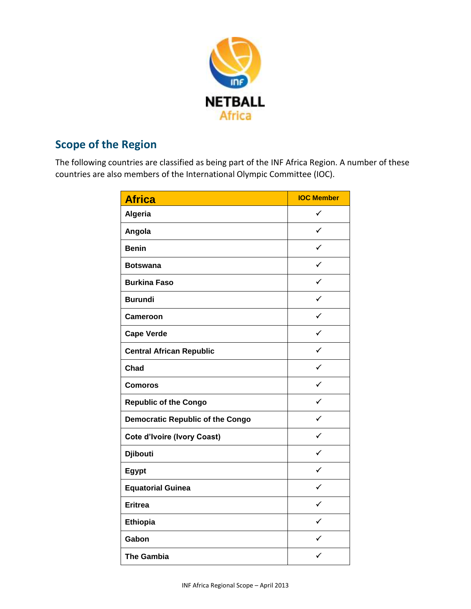

## **Scope of the Region**

The following countries are classified as being part of the INF Africa Region. A number of these countries are also members of the International Olympic Committee (IOC).

| <b>Africa</b>                           | <b>IOC Member</b> |
|-----------------------------------------|-------------------|
| Algeria                                 | $\checkmark$      |
| Angola                                  | ✓                 |
| <b>Benin</b>                            | ✓                 |
| <b>Botswana</b>                         | $\checkmark$      |
| <b>Burkina Faso</b>                     | $\checkmark$      |
| <b>Burundi</b>                          | ✓                 |
| Cameroon                                | ✓                 |
| <b>Cape Verde</b>                       | ✓                 |
| <b>Central African Republic</b>         | $\checkmark$      |
| <b>Chad</b>                             | ✓                 |
| <b>Comoros</b>                          | $\checkmark$      |
| <b>Republic of the Congo</b>            | $\checkmark$      |
| <b>Democratic Republic of the Congo</b> | ✓                 |
| <b>Cote d'Ivoire (Ivory Coast)</b>      | ✓                 |
| <b>Djibouti</b>                         | ✓                 |
| Egypt                                   | $\checkmark$      |
| <b>Equatorial Guinea</b>                | ✓                 |
| <b>Eritrea</b>                          | $\checkmark$      |
| Ethiopia                                | ✓                 |
| Gabon                                   | ✓                 |
| <b>The Gambia</b>                       |                   |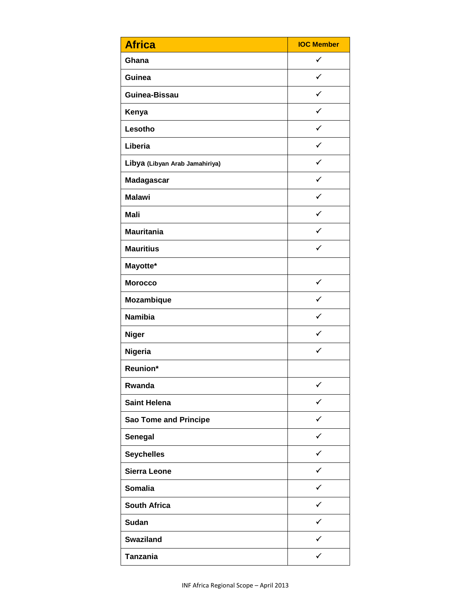| <b>Africa</b>                  | <b>IOC Member</b> |
|--------------------------------|-------------------|
| Ghana                          | $\checkmark$      |
| Guinea                         | $\checkmark$      |
| Guinea-Bissau                  | $\checkmark$      |
| Kenya                          | $\checkmark$      |
| Lesotho                        | $\checkmark$      |
| Liberia                        | $\checkmark$      |
| Libya (Libyan Arab Jamahiriya) | ✓                 |
| <b>Madagascar</b>              | $\checkmark$      |
| <b>Malawi</b>                  | $\checkmark$      |
| <b>Mali</b>                    | $\checkmark$      |
| <b>Mauritania</b>              | $\checkmark$      |
| <b>Mauritius</b>               | $\checkmark$      |
| Mayotte*                       |                   |
| <b>Morocco</b>                 | $\checkmark$      |
| <b>Mozambique</b>              | ✓                 |
| <b>Namibia</b>                 | $\checkmark$      |
| <b>Niger</b>                   | $\checkmark$      |
| Nigeria                        | $\checkmark$      |
| Reunion*                       |                   |
| Rwanda                         | ✓                 |
| <b>Saint Helena</b>            | ✓                 |
| <b>Sao Tome and Principe</b>   | $\checkmark$      |
| Senegal                        | ✓                 |
| <b>Seychelles</b>              | ✓                 |
| <b>Sierra Leone</b>            | ✓                 |
| <b>Somalia</b>                 | $\checkmark$      |
| <b>South Africa</b>            | ✓                 |
| <b>Sudan</b>                   | ✓                 |
| <b>Swaziland</b>               | ✓                 |
| <b>Tanzania</b>                | ✓                 |